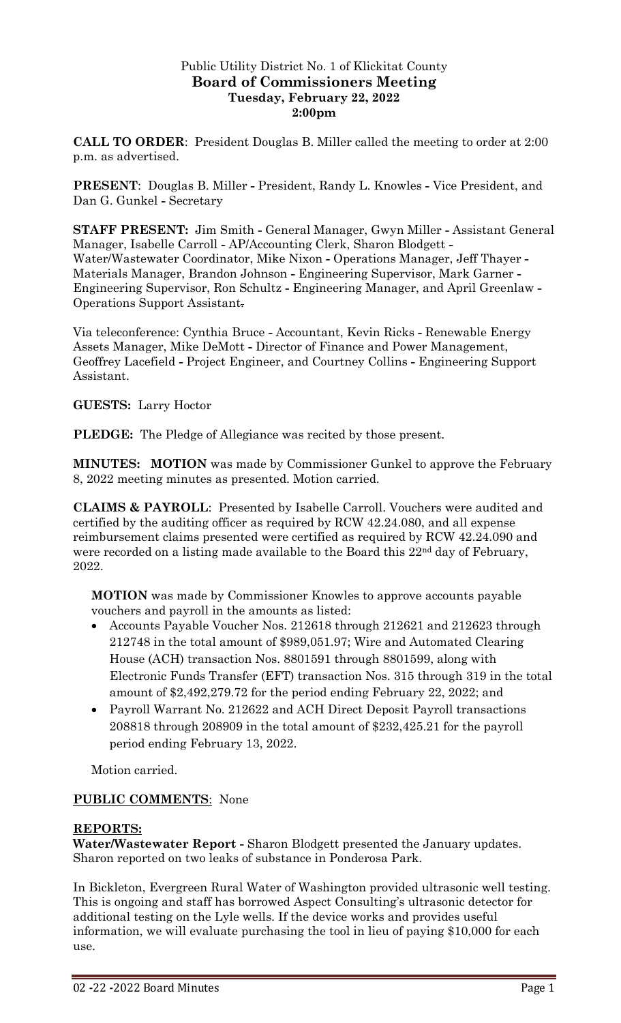## Public Utility District No. 1 of Klickitat County **Board of Commissioners Meeting Tuesday, February 22, 2022 2:00pm**

**CALL TO ORDER**: President Douglas B. Miller called the meeting to order at 2:00 p.m. as advertised.

**PRESENT**: Douglas B. Miller **-** President, Randy L. Knowles **-** Vice President, and Dan G. Gunkel **-** Secretary

**STAFF PRESENT:** Jim Smith **-** General Manager, Gwyn Miller **-** Assistant General Manager, Isabelle Carroll **-** AP/Accounting Clerk, Sharon Blodgett **-** Water/Wastewater Coordinator, Mike Nixon **-** Operations Manager, Jeff Thayer **-** Materials Manager, Brandon Johnson **-** Engineering Supervisor, Mark Garner **-** Engineering Supervisor, Ron Schultz **-** Engineering Manager, and April Greenlaw **-** Operations Support Assistant.

Via teleconference: Cynthia Bruce **-** Accountant, Kevin Ricks **-** Renewable Energy Assets Manager, Mike DeMott **-** Director of Finance and Power Management, Geoffrey Lacefield **-** Project Engineer, and Courtney Collins **-** Engineering Support Assistant.

## **GUESTS:** Larry Hoctor

**PLEDGE:** The Pledge of Allegiance was recited by those present.

**MINUTES: MOTION** was made by Commissioner Gunkel to approve the February 8, 2022 meeting minutes as presented. Motion carried.

**CLAIMS & PAYROLL**: Presented by Isabelle Carroll. Vouchers were audited and certified by the auditing officer as required by RCW 42.24.080, and all expense reimbursement claims presented were certified as required by RCW 42.24.090 and were recorded on a listing made available to the Board this 22<sup>nd</sup> day of February, 2022.

**MOTION** was made by Commissioner Knowles to approve accounts payable vouchers and payroll in the amounts as listed:

- Accounts Payable Voucher Nos. 212618 through 212621 and 212623 through 212748 in the total amount of \$989,051.97; Wire and Automated Clearing House (ACH) transaction Nos. 8801591 through 8801599, along with Electronic Funds Transfer (EFT) transaction Nos. 315 through 319 in the total amount of \$2,492,279.72 for the period ending February 22, 2022; and
- Payroll Warrant No. 212622 and ACH Direct Deposit Payroll transactions 208818 through 208909 in the total amount of \$232,425.21 for the payroll period ending February 13, 2022.

Motion carried.

## **PUBLIC COMMENTS**: None

## **REPORTS:**

**Water/Wastewater Report -** Sharon Blodgett presented the January updates. Sharon reported on two leaks of substance in Ponderosa Park.

In Bickleton, Evergreen Rural Water of Washington provided ultrasonic well testing. This is ongoing and staff has borrowed Aspect Consulting's ultrasonic detector for additional testing on the Lyle wells. If the device works and provides useful information, we will evaluate purchasing the tool in lieu of paying \$10,000 for each use.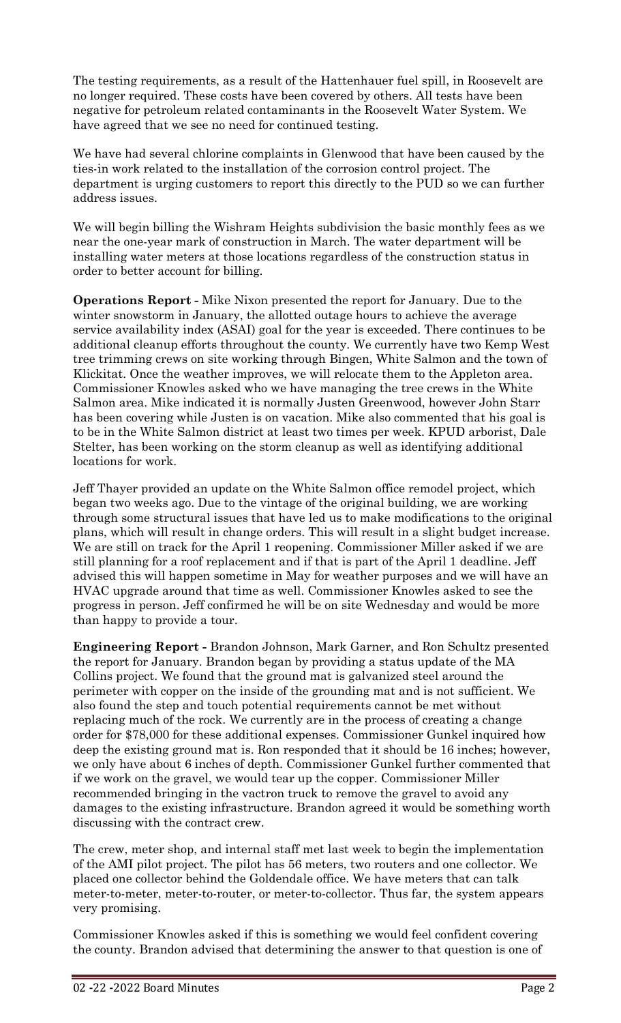The testing requirements, as a result of the Hattenhauer fuel spill, in Roosevelt are no longer required. These costs have been covered by others. All tests have been negative for petroleum related contaminants in the Roosevelt Water System. We have agreed that we see no need for continued testing.

We have had several chlorine complaints in Glenwood that have been caused by the ties-in work related to the installation of the corrosion control project. The department is urging customers to report this directly to the PUD so we can further address issues.

We will begin billing the Wishram Heights subdivision the basic monthly fees as we near the one-year mark of construction in March. The water department will be installing water meters at those locations regardless of the construction status in order to better account for billing.

**Operations Report -** Mike Nixon presented the report for January. Due to the winter snowstorm in January, the allotted outage hours to achieve the average service availability index (ASAI) goal for the year is exceeded. There continues to be additional cleanup efforts throughout the county. We currently have two Kemp West tree trimming crews on site working through Bingen, White Salmon and the town of Klickitat. Once the weather improves, we will relocate them to the Appleton area. Commissioner Knowles asked who we have managing the tree crews in the White Salmon area. Mike indicated it is normally Justen Greenwood, however John Starr has been covering while Justen is on vacation. Mike also commented that his goal is to be in the White Salmon district at least two times per week. KPUD arborist, Dale Stelter, has been working on the storm cleanup as well as identifying additional locations for work.

Jeff Thayer provided an update on the White Salmon office remodel project, which began two weeks ago. Due to the vintage of the original building, we are working through some structural issues that have led us to make modifications to the original plans, which will result in change orders. This will result in a slight budget increase. We are still on track for the April 1 reopening. Commissioner Miller asked if we are still planning for a roof replacement and if that is part of the April 1 deadline. Jeff advised this will happen sometime in May for weather purposes and we will have an HVAC upgrade around that time as well. Commissioner Knowles asked to see the progress in person. Jeff confirmed he will be on site Wednesday and would be more than happy to provide a tour.

**Engineering Report -** Brandon Johnson, Mark Garner, and Ron Schultz presented the report for January. Brandon began by providing a status update of the MA Collins project. We found that the ground mat is galvanized steel around the perimeter with copper on the inside of the grounding mat and is not sufficient. We also found the step and touch potential requirements cannot be met without replacing much of the rock. We currently are in the process of creating a change order for \$78,000 for these additional expenses. Commissioner Gunkel inquired how deep the existing ground mat is. Ron responded that it should be 16 inches; however, we only have about 6 inches of depth. Commissioner Gunkel further commented that if we work on the gravel, we would tear up the copper. Commissioner Miller recommended bringing in the vactron truck to remove the gravel to avoid any damages to the existing infrastructure. Brandon agreed it would be something worth discussing with the contract crew.

The crew, meter shop, and internal staff met last week to begin the implementation of the AMI pilot project. The pilot has 56 meters, two routers and one collector. We placed one collector behind the Goldendale office. We have meters that can talk meter-to-meter, meter-to-router, or meter-to-collector. Thus far, the system appears very promising.

Commissioner Knowles asked if this is something we would feel confident covering the county. Brandon advised that determining the answer to that question is one of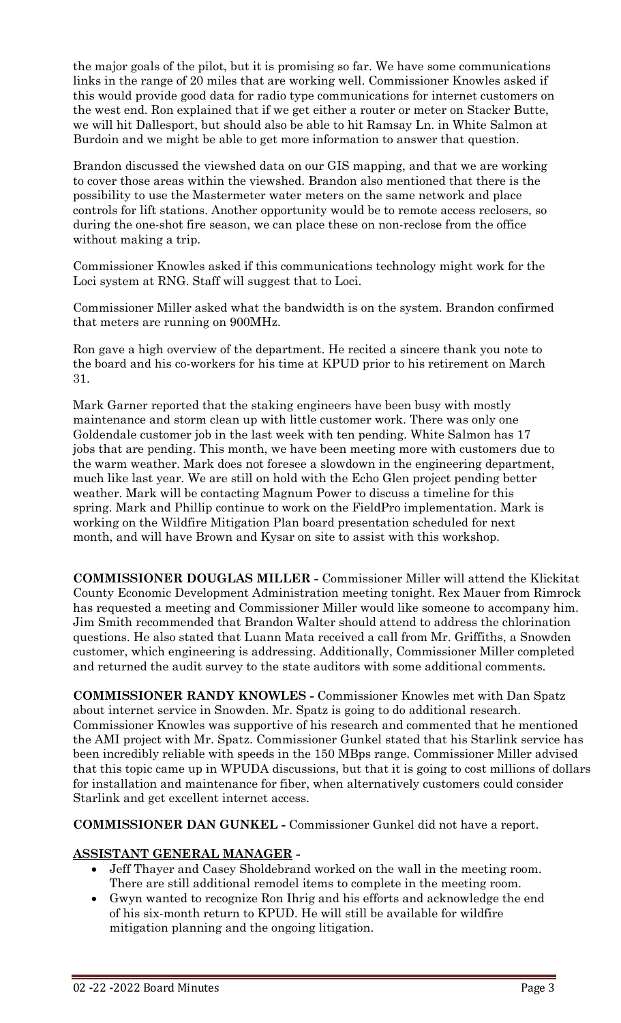the major goals of the pilot, but it is promising so far. We have some communications links in the range of 20 miles that are working well. Commissioner Knowles asked if this would provide good data for radio type communications for internet customers on the west end. Ron explained that if we get either a router or meter on Stacker Butte, we will hit Dallesport, but should also be able to hit Ramsay Ln. in White Salmon at Burdoin and we might be able to get more information to answer that question.

Brandon discussed the viewshed data on our GIS mapping, and that we are working to cover those areas within the viewshed. Brandon also mentioned that there is the possibility to use the Mastermeter water meters on the same network and place controls for lift stations. Another opportunity would be to remote access reclosers, so during the one-shot fire season, we can place these on non-reclose from the office without making a trip.

Commissioner Knowles asked if this communications technology might work for the Loci system at RNG. Staff will suggest that to Loci.

Commissioner Miller asked what the bandwidth is on the system. Brandon confirmed that meters are running on 900MHz.

Ron gave a high overview of the department. He recited a sincere thank you note to the board and his co-workers for his time at KPUD prior to his retirement on March 31.

Mark Garner reported that the staking engineers have been busy with mostly maintenance and storm clean up with little customer work. There was only one Goldendale customer job in the last week with ten pending. White Salmon has 17 jobs that are pending. This month, we have been meeting more with customers due to the warm weather. Mark does not foresee a slowdown in the engineering department, much like last year. We are still on hold with the Echo Glen project pending better weather. Mark will be contacting Magnum Power to discuss a timeline for this spring. Mark and Phillip continue to work on the FieldPro implementation. Mark is working on the Wildfire Mitigation Plan board presentation scheduled for next month, and will have Brown and Kysar on site to assist with this workshop.

**COMMISSIONER DOUGLAS MILLER -** Commissioner Miller will attend the Klickitat County Economic Development Administration meeting tonight. Rex Mauer from Rimrock has requested a meeting and Commissioner Miller would like someone to accompany him. Jim Smith recommended that Brandon Walter should attend to address the chlorination questions. He also stated that Luann Mata received a call from Mr. Griffiths, a Snowden customer, which engineering is addressing. Additionally, Commissioner Miller completed and returned the audit survey to the state auditors with some additional comments.

**COMMISSIONER RANDY KNOWLES -** Commissioner Knowles met with Dan Spatz about internet service in Snowden. Mr. Spatz is going to do additional research. Commissioner Knowles was supportive of his research and commented that he mentioned the AMI project with Mr. Spatz. Commissioner Gunkel stated that his Starlink service has been incredibly reliable with speeds in the 150 MBps range. Commissioner Miller advised that this topic came up in WPUDA discussions, but that it is going to cost millions of dollars for installation and maintenance for fiber, when alternatively customers could consider Starlink and get excellent internet access.

**COMMISSIONER DAN GUNKEL -** Commissioner Gunkel did not have a report.

# **ASSISTANT GENERAL MANAGER -**

- Jeff Thayer and Casey Sholdebrand worked on the wall in the meeting room. There are still additional remodel items to complete in the meeting room.
- Gwyn wanted to recognize Ron Ihrig and his efforts and acknowledge the end of his six-month return to KPUD. He will still be available for wildfire mitigation planning and the ongoing litigation.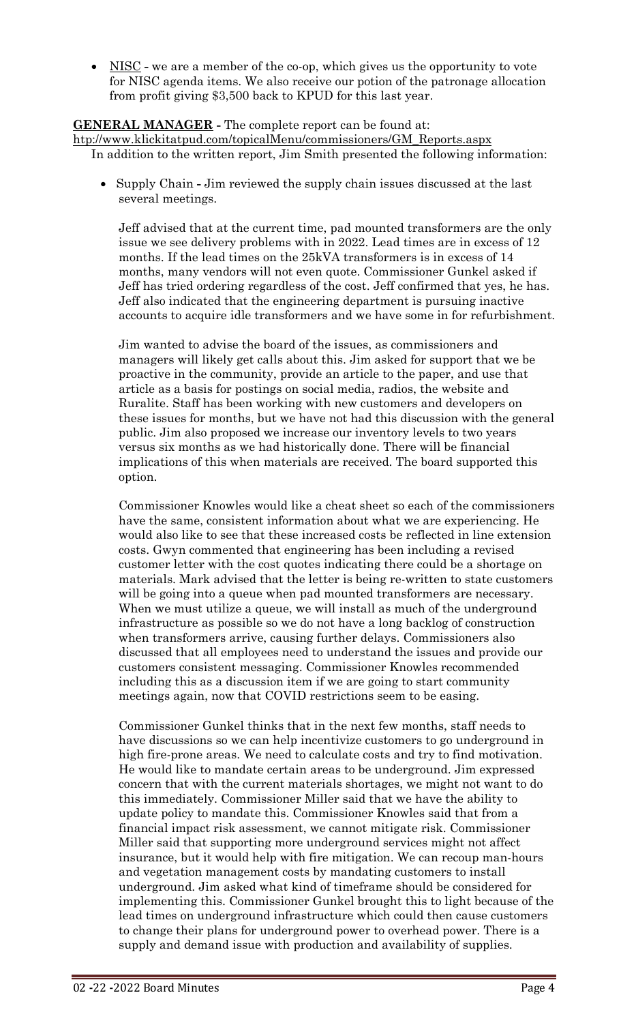• NISC - we are a member of the co-op, which gives us the opportunity to vote for NISC agenda items. We also receive our potion of the patronage allocation from profit giving \$3,500 back to KPUD for this last year.

## **GENERAL MANAGER -** The complete report can be found at:

[htp://www.klickitatpud.com/topicalMenu/commissioners/GM\\_Reports.aspx](http://www.klickitatpud.com/topicalMenu/commissioners/GM_Reports.aspx) In addition to the written report, Jim Smith presented the following information:

• Supply Chain **-** Jim reviewed the supply chain issues discussed at the last several meetings.

Jeff advised that at the current time, pad mounted transformers are the only issue we see delivery problems with in 2022. Lead times are in excess of 12 months. If the lead times on the 25kVA transformers is in excess of 14 months, many vendors will not even quote. Commissioner Gunkel asked if Jeff has tried ordering regardless of the cost. Jeff confirmed that yes, he has. Jeff also indicated that the engineering department is pursuing inactive accounts to acquire idle transformers and we have some in for refurbishment.

Jim wanted to advise the board of the issues, as commissioners and managers will likely get calls about this. Jim asked for support that we be proactive in the community, provide an article to the paper, and use that article as a basis for postings on social media, radios, the website and Ruralite. Staff has been working with new customers and developers on these issues for months, but we have not had this discussion with the general public. Jim also proposed we increase our inventory levels to two years versus six months as we had historically done. There will be financial implications of this when materials are received. The board supported this option.

Commissioner Knowles would like a cheat sheet so each of the commissioners have the same, consistent information about what we are experiencing. He would also like to see that these increased costs be reflected in line extension costs. Gwyn commented that engineering has been including a revised customer letter with the cost quotes indicating there could be a shortage on materials. Mark advised that the letter is being re-written to state customers will be going into a queue when pad mounted transformers are necessary. When we must utilize a queue, we will install as much of the underground infrastructure as possible so we do not have a long backlog of construction when transformers arrive, causing further delays. Commissioners also discussed that all employees need to understand the issues and provide our customers consistent messaging. Commissioner Knowles recommended including this as a discussion item if we are going to start community meetings again, now that COVID restrictions seem to be easing.

Commissioner Gunkel thinks that in the next few months, staff needs to have discussions so we can help incentivize customers to go underground in high fire-prone areas. We need to calculate costs and try to find motivation. He would like to mandate certain areas to be underground. Jim expressed concern that with the current materials shortages, we might not want to do this immediately. Commissioner Miller said that we have the ability to update policy to mandate this. Commissioner Knowles said that from a financial impact risk assessment, we cannot mitigate risk. Commissioner Miller said that supporting more underground services might not affect insurance, but it would help with fire mitigation. We can recoup man-hours and vegetation management costs by mandating customers to install underground. Jim asked what kind of timeframe should be considered for implementing this. Commissioner Gunkel brought this to light because of the lead times on underground infrastructure which could then cause customers to change their plans for underground power to overhead power. There is a supply and demand issue with production and availability of supplies.